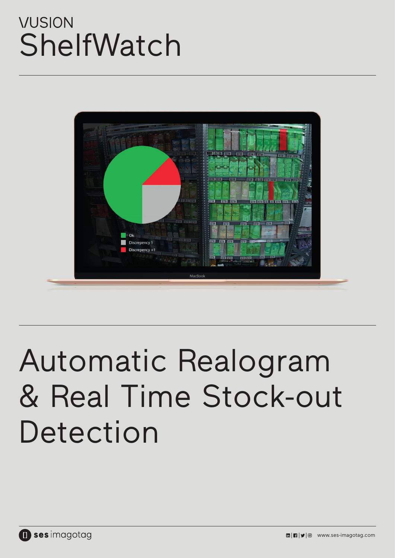# **VUSION** ShelfWatch



# Automatic Realogram & Real Time Stock-out Detection